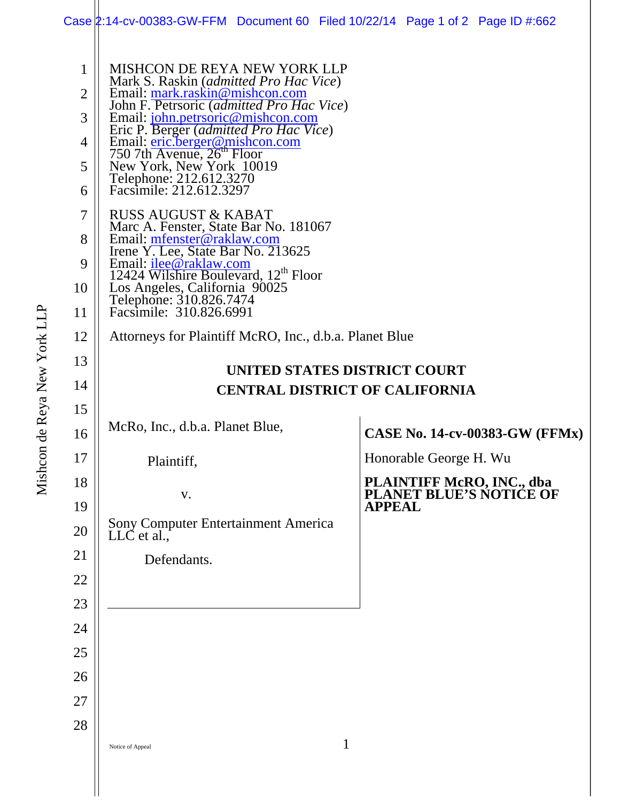## Case 2:14-cv-00383-GW-FFM Document 60 Filed 10/22/14 Page 1 of 2 Page ID #:662

| 1<br>$\overline{2}$<br>3<br>4<br>5<br>6<br>7<br>8<br>9<br>10<br>11 | MISHCON DE REYA NEW YORK LLP<br>Mark S. Raskin (admitted Pro Hac Vice)<br>Email: mark.raskin@mishcon.com<br>John F. Petrsoric (admitted Pro Hac Vice)<br>Email: john.petrsoric@mishcon.com<br>Eric P. Berger (admitted Pro Hac Vice)<br>Email: <u>eric.berger@mishcon.com</u><br>750 7th Avenue, 26 <sup>th</sup> Floor<br>New York, New York 10019<br>Telephone: 212.612.3270<br>Facsimile: 212.612.3297<br><b>RUSS AUGUST &amp; KABAT</b><br>Marc A. Fenster, State Bar No. 181067<br>Email: mfenster@raklaw.com<br>Irene Y. Lee, State Bar No. 213625<br>Email: <i>ilee@raklaw.com</i><br>12424 Wilshire Boulevard, 12 <sup>th</sup> Floor<br>Los Angeles, California 90025<br>Telephone: 310.826.7474<br>Facsimile: 310.826.6991 |                                                              |  |  |
|--------------------------------------------------------------------|--------------------------------------------------------------------------------------------------------------------------------------------------------------------------------------------------------------------------------------------------------------------------------------------------------------------------------------------------------------------------------------------------------------------------------------------------------------------------------------------------------------------------------------------------------------------------------------------------------------------------------------------------------------------------------------------------------------------------------------|--------------------------------------------------------------|--|--|
| 12                                                                 | Attorneys for Plaintiff McRO, Inc., d.b.a. Planet Blue                                                                                                                                                                                                                                                                                                                                                                                                                                                                                                                                                                                                                                                                               |                                                              |  |  |
| 13                                                                 |                                                                                                                                                                                                                                                                                                                                                                                                                                                                                                                                                                                                                                                                                                                                      |                                                              |  |  |
| 14                                                                 | UNITED STATES DISTRICT COURT                                                                                                                                                                                                                                                                                                                                                                                                                                                                                                                                                                                                                                                                                                         |                                                              |  |  |
| 15                                                                 | <b>CENTRAL DISTRICT OF CALIFORNIA</b>                                                                                                                                                                                                                                                                                                                                                                                                                                                                                                                                                                                                                                                                                                |                                                              |  |  |
| 16                                                                 | McRo, Inc., d.b.a. Planet Blue,                                                                                                                                                                                                                                                                                                                                                                                                                                                                                                                                                                                                                                                                                                      | <b>CASE No. 14-cv-00383-GW (FFMx)</b>                        |  |  |
| 17                                                                 | Plaintiff,                                                                                                                                                                                                                                                                                                                                                                                                                                                                                                                                                                                                                                                                                                                           | Honorable George H. Wu                                       |  |  |
| 18                                                                 | V.                                                                                                                                                                                                                                                                                                                                                                                                                                                                                                                                                                                                                                                                                                                                   | <b>PLAINTIFF McRO, INC., dba<br/>PLANET BLUE'S NOTICE OF</b> |  |  |
| 19                                                                 |                                                                                                                                                                                                                                                                                                                                                                                                                                                                                                                                                                                                                                                                                                                                      | <b>APPEAL</b>                                                |  |  |
| 20                                                                 | Sony Computer Entertainment America<br>LLC et al.,                                                                                                                                                                                                                                                                                                                                                                                                                                                                                                                                                                                                                                                                                   |                                                              |  |  |
| 21                                                                 | Defendants.                                                                                                                                                                                                                                                                                                                                                                                                                                                                                                                                                                                                                                                                                                                          |                                                              |  |  |
| 22                                                                 |                                                                                                                                                                                                                                                                                                                                                                                                                                                                                                                                                                                                                                                                                                                                      |                                                              |  |  |
| 23                                                                 |                                                                                                                                                                                                                                                                                                                                                                                                                                                                                                                                                                                                                                                                                                                                      |                                                              |  |  |
| 24                                                                 |                                                                                                                                                                                                                                                                                                                                                                                                                                                                                                                                                                                                                                                                                                                                      |                                                              |  |  |
| 25                                                                 |                                                                                                                                                                                                                                                                                                                                                                                                                                                                                                                                                                                                                                                                                                                                      |                                                              |  |  |
| 26                                                                 |                                                                                                                                                                                                                                                                                                                                                                                                                                                                                                                                                                                                                                                                                                                                      |                                                              |  |  |
| 27                                                                 |                                                                                                                                                                                                                                                                                                                                                                                                                                                                                                                                                                                                                                                                                                                                      |                                                              |  |  |
|                                                                    |                                                                                                                                                                                                                                                                                                                                                                                                                                                                                                                                                                                                                                                                                                                                      |                                                              |  |  |
| 28                                                                 |                                                                                                                                                                                                                                                                                                                                                                                                                                                                                                                                                                                                                                                                                                                                      |                                                              |  |  |